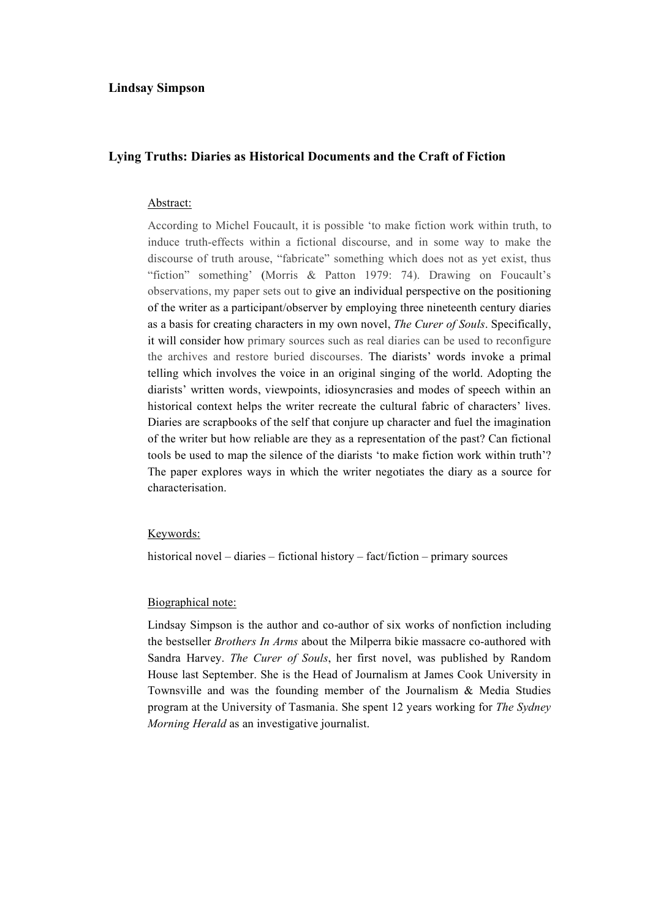## **Lindsay Simpson**

## **Lying Truths: Diaries as Historical Documents and the Craft of Fiction**

#### Abstract:

According to Michel Foucault, it is possible 'to make fiction work within truth, to induce truth-effects within a fictional discourse, and in some way to make the discourse of truth arouse, "fabricate" something which does not as yet exist, thus "fiction" something' (Morris & Patton 1979: 74). Drawing on Foucault's observations, my paper sets out to give an individual perspective on the positioning of the writer as a participant/observer by employing three nineteenth century diaries as a basis for creating characters in my own novel, *The Curer of Souls*. Specifically, it will consider how primary sources such as real diaries can be used to reconfigure the archives and restore buried discourses. The diarists' words invoke a primal telling which involves the voice in an original singing of the world. Adopting the diarists' written words, viewpoints, idiosyncrasies and modes of speech within an historical context helps the writer recreate the cultural fabric of characters' lives. Diaries are scrapbooks of the self that conjure up character and fuel the imagination of the writer but how reliable are they as a representation of the past? Can fictional tools be used to map the silence of the diarists 'to make fiction work within truth'? The paper explores ways in which the writer negotiates the diary as a source for characterisation.

#### Keywords:

historical novel – diaries – fictional history – fact/fiction – primary sources

### Biographical note:

Lindsay Simpson is the author and co-author of six works of nonfiction including the bestseller *Brothers In Arms* about the Milperra bikie massacre co-authored with Sandra Harvey. *The Curer of Souls*, her first novel, was published by Random House last September. She is the Head of Journalism at James Cook University in Townsville and was the founding member of the Journalism & Media Studies program at the University of Tasmania. She spent 12 years working for *The Sydney Morning Herald* as an investigative journalist.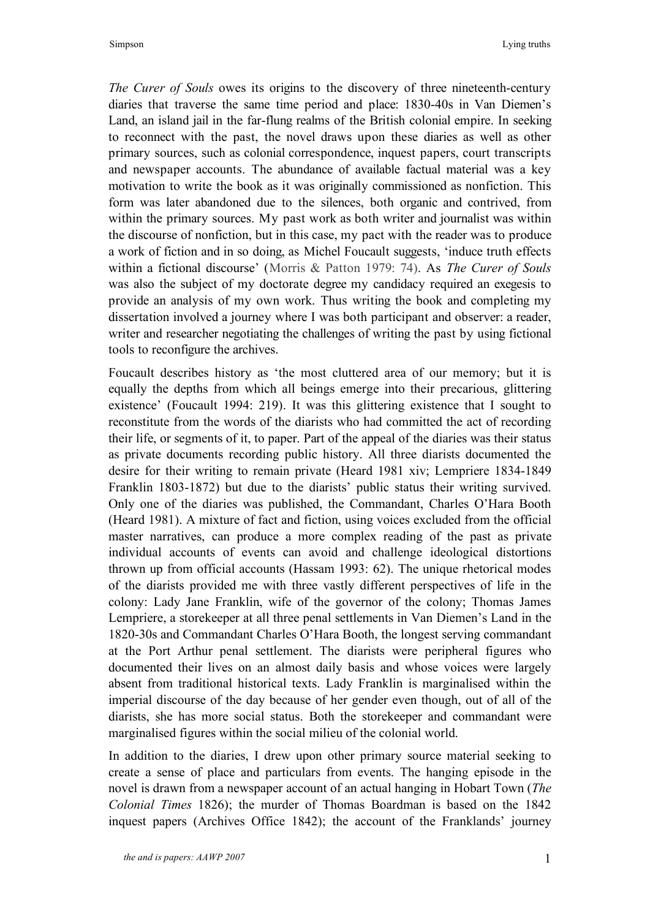*The Curer of Souls* owes its origins to the discovery of three nineteenth-century diaries that traverse the same time period and place: 1830-40s in Van Diemen's Land, an island jail in the far-flung realms of the British colonial empire. In seeking to reconnect with the past, the novel draws upon these diaries as well as other primary sources, such as colonial correspondence, inquest papers, court transcripts and newspaper accounts. The abundance of available factual material was a key motivation to write the book as it was originally commissioned as nonfiction. This form was later abandoned due to the silences, both organic and contrived, from within the primary sources. My past work as both writer and journalist was within the discourse of nonfiction, but in this case, my pact with the reader was to produce a work of fiction and in so doing, as Michel Foucault suggests, 'induce truth effects within a fictional discourse' (Morris & Patton 1979: 74). As *The Curer of Souls* was also the subject of my doctorate degree my candidacy required an exegesis to provide an analysis of my own work. Thus writing the book and completing my dissertation involved a journey where I was both participant and observer: a reader, writer and researcher negotiating the challenges of writing the past by using fictional tools to reconfigure the archives.

Foucault describes history as 'the most cluttered area of our memory; but it is equally the depths from which all beings emerge into their precarious, glittering existence' (Foucault 1994: 219). It was this glittering existence that I sought to reconstitute from the words of the diarists who had committed the act of recording their life, or segments of it, to paper. Part of the appeal of the diaries was their status as private documents recording public history. All three diarists documented the desire for their writing to remain private (Heard 1981 xiv; Lempriere 1834-1849 Franklin 1803-1872) but due to the diarists' public status their writing survived. Only one of the diaries was published, the Commandant, Charles O'Hara Booth (Heard 1981). A mixture of fact and fiction, using voices excluded from the official master narratives, can produce a more complex reading of the past as private individual accounts of events can avoid and challenge ideological distortions thrown up from official accounts (Hassam 1993: 62). The unique rhetorical modes of the diarists provided me with three vastly different perspectives of life in the colony: Lady Jane Franklin, wife of the governor of the colony; Thomas James Lempriere, a storekeeper at all three penal settlements in Van Diemen's Land in the 1820-30s and Commandant Charles O'Hara Booth, the longest serving commandant at the Port Arthur penal settlement. The diarists were peripheral figures who documented their lives on an almost daily basis and whose voices were largely absent from traditional historical texts. Lady Franklin is marginalised within the imperial discourse of the day because of her gender even though, out of all of the diarists, she has more social status. Both the storekeeper and commandant were marginalised figures within the social milieu of the colonial world.

In addition to the diaries, I drew upon other primary source material seeking to create a sense of place and particulars from events. The hanging episode in the novel is drawn from a newspaper account of an actual hanging in Hobart Town (*The Colonial Times* 1826); the murder of Thomas Boardman is based on the 1842 inquest papers (Archives Office 1842); the account of the Franklands' journey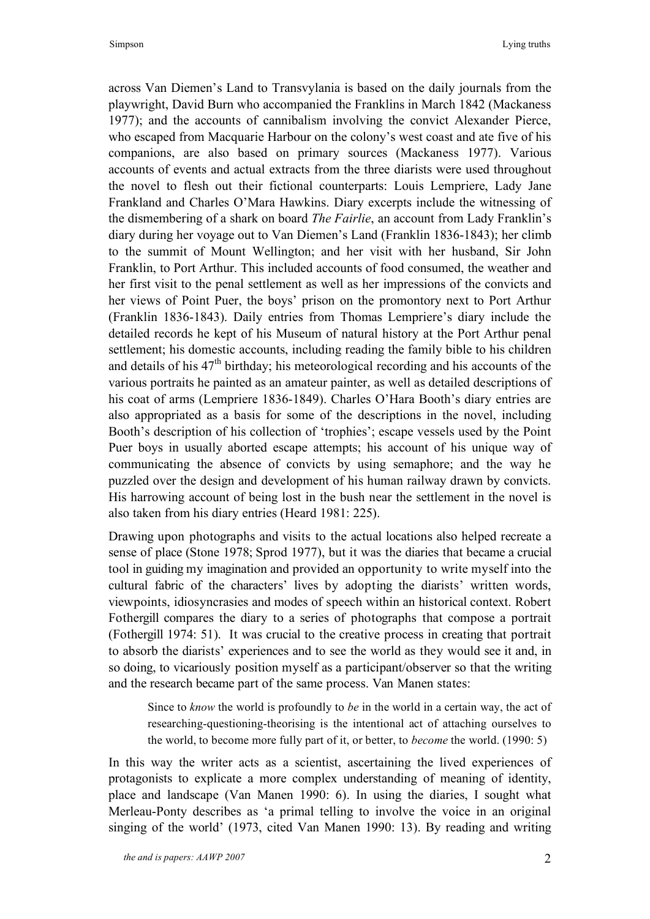across Van Diemen's Land to Transvylania is based on the daily journals from the playwright, David Burn who accompanied the Franklins in March 1842 (Mackaness 1977); and the accounts of cannibalism involving the convict Alexander Pierce, who escaped from Macquarie Harbour on the colony's west coast and ate five of his companions, are also based on primary sources (Mackaness 1977). Various accounts of events and actual extracts from the three diarists were used throughout the novel to flesh out their fictional counterparts: Louis Lempriere, Lady Jane Frankland and Charles O'Mara Hawkins. Diary excerpts include the witnessing of the dismembering of a shark on board *The Fairlie*, an account from Lady Franklin's diary during her voyage out to Van Diemen's Land (Franklin 1836-1843); her climb to the summit of Mount Wellington; and her visit with her husband, Sir John Franklin, to Port Arthur. This included accounts of food consumed, the weather and her first visit to the penal settlement as well as her impressions of the convicts and her views of Point Puer, the boys' prison on the promontory next to Port Arthur (Franklin 1836-1843). Daily entries from Thomas Lempriere's diary include the detailed records he kept of his Museum of natural history at the Port Arthur penal settlement; his domestic accounts, including reading the family bible to his children and details of his  $47<sup>th</sup>$  birthday; his meteorological recording and his accounts of the various portraits he painted as an amateur painter, as well as detailed descriptions of his coat of arms (Lempriere 1836-1849). Charles O'Hara Booth's diary entries are also appropriated as a basis for some of the descriptions in the novel, including Booth's description of his collection of 'trophies'; escape vessels used by the Point Puer boys in usually aborted escape attempts; his account of his unique way of communicating the absence of convicts by using semaphore; and the way he puzzled over the design and development of his human railway drawn by convicts. His harrowing account of being lost in the bush near the settlement in the novel is also taken from his diary entries (Heard 1981: 225).

Drawing upon photographs and visits to the actual locations also helped recreate a sense of place (Stone 1978; Sprod 1977), but it was the diaries that became a crucial tool in guiding my imagination and provided an opportunity to write myself into the cultural fabric of the characters' lives by adopting the diarists' written words, viewpoints, idiosyncrasies and modes of speech within an historical context. Robert Fothergill compares the diary to a series of photographs that compose a portrait (Fothergill 1974: 51). It was crucial to the creative process in creating that portrait to absorb the diarists' experiences and to see the world as they would see it and, in so doing, to vicariously position myself as a participant/observer so that the writing and the research became part of the same process. Van Manen states:

Since to *know* the world is profoundly to *be* in the world in a certain way, the act of researching-questioning-theorising is the intentional act of attaching ourselves to the world, to become more fully part of it, or better, to *become* the world. (1990: 5)

In this way the writer acts as a scientist, ascertaining the lived experiences of protagonists to explicate a more complex understanding of meaning of identity, place and landscape (Van Manen 1990: 6). In using the diaries, I sought what Merleau-Ponty describes as 'a primal telling to involve the voice in an original singing of the world' (1973, cited Van Manen 1990: 13). By reading and writing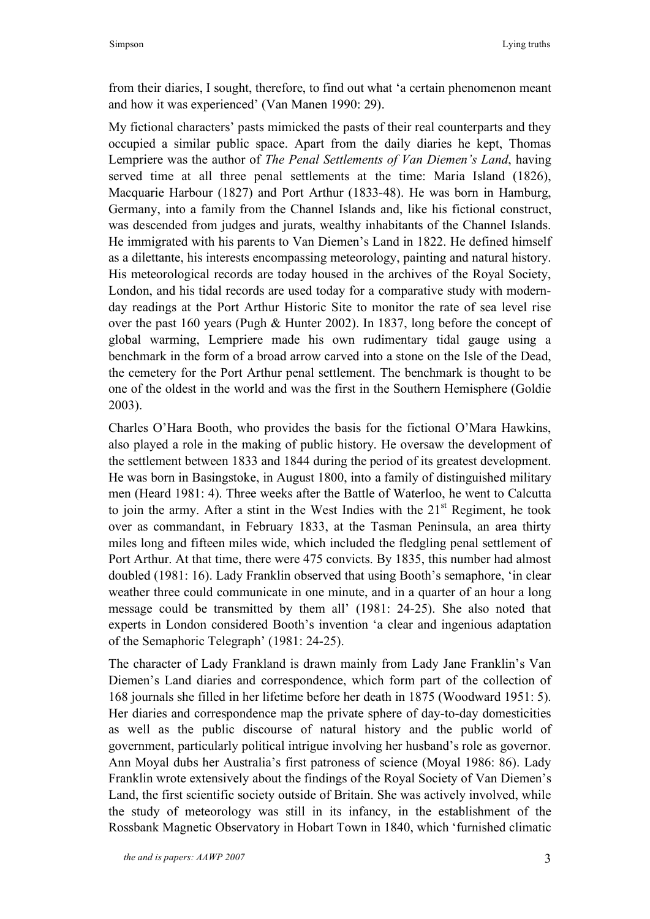from their diaries, I sought, therefore, to find out what 'a certain phenomenon meant and how it was experienced' (Van Manen 1990: 29).

My fictional characters' pasts mimicked the pasts of their real counterparts and they occupied a similar public space. Apart from the daily diaries he kept, Thomas Lempriere was the author of *The Penal Settlements of Van Diemen's Land*, having served time at all three penal settlements at the time: Maria Island (1826), Macquarie Harbour (1827) and Port Arthur (1833-48). He was born in Hamburg, Germany, into a family from the Channel Islands and, like his fictional construct, was descended from judges and jurats, wealthy inhabitants of the Channel Islands. He immigrated with his parents to Van Diemen's Land in 1822. He defined himself as a dilettante, his interests encompassing meteorology, painting and natural history. His meteorological records are today housed in the archives of the Royal Society, London, and his tidal records are used today for a comparative study with modernday readings at the Port Arthur Historic Site to monitor the rate of sea level rise over the past 160 years (Pugh & Hunter 2002). In 1837, long before the concept of global warming, Lempriere made his own rudimentary tidal gauge using a benchmark in the form of a broad arrow carved into a stone on the Isle of the Dead, the cemetery for the Port Arthur penal settlement. The benchmark is thought to be one of the oldest in the world and was the first in the Southern Hemisphere (Goldie 2003).

Charles O'Hara Booth, who provides the basis for the fictional O'Mara Hawkins, also played a role in the making of public history. He oversaw the development of the settlement between 1833 and 1844 during the period of its greatest development. He was born in Basingstoke, in August 1800, into a family of distinguished military men (Heard 1981: 4). Three weeks after the Battle of Waterloo, he went to Calcutta to join the army. After a stint in the West Indies with the  $21<sup>st</sup>$  Regiment, he took over as commandant, in February 1833, at the Tasman Peninsula, an area thirty miles long and fifteen miles wide, which included the fledgling penal settlement of Port Arthur. At that time, there were 475 convicts. By 1835, this number had almost doubled (1981: 16). Lady Franklin observed that using Booth's semaphore, 'in clear weather three could communicate in one minute, and in a quarter of an hour a long message could be transmitted by them all' (1981: 24-25). She also noted that experts in London considered Booth's invention 'a clear and ingenious adaptation of the Semaphoric Telegraph' (1981: 24-25).

The character of Lady Frankland is drawn mainly from Lady Jane Franklin's Van Diemen's Land diaries and correspondence, which form part of the collection of 168 journals she filled in her lifetime before her death in 1875 (Woodward 1951: 5). Her diaries and correspondence map the private sphere of day-to-day domesticities as well as the public discourse of natural history and the public world of government, particularly political intrigue involving her husband's role as governor. Ann Moyal dubs her Australia's first patroness of science (Moyal 1986: 86). Lady Franklin wrote extensively about the findings of the Royal Society of Van Diemen's Land, the first scientific society outside of Britain. She was actively involved, while the study of meteorology was still in its infancy, in the establishment of the Rossbank Magnetic Observatory in Hobart Town in 1840, which 'furnished climatic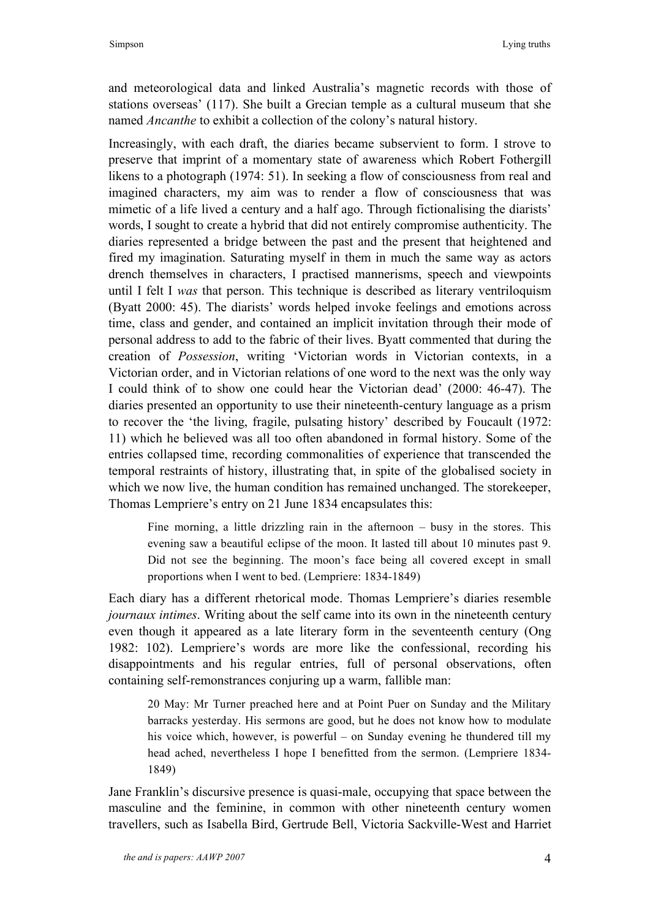and meteorological data and linked Australia's magnetic records with those of stations overseas' (117). She built a Grecian temple as a cultural museum that she named *Ancanthe* to exhibit a collection of the colony's natural history.

Increasingly, with each draft, the diaries became subservient to form. I strove to preserve that imprint of a momentary state of awareness which Robert Fothergill likens to a photograph (1974: 51). In seeking a flow of consciousness from real and imagined characters, my aim was to render a flow of consciousness that was mimetic of a life lived a century and a half ago. Through fictionalising the diarists' words, I sought to create a hybrid that did not entirely compromise authenticity. The diaries represented a bridge between the past and the present that heightened and fired my imagination. Saturating myself in them in much the same way as actors drench themselves in characters, I practised mannerisms, speech and viewpoints until I felt I *was* that person. This technique is described as literary ventriloquism (Byatt 2000: 45). The diarists' words helped invoke feelings and emotions across time, class and gender, and contained an implicit invitation through their mode of personal address to add to the fabric of their lives. Byatt commented that during the creation of *Possession*, writing 'Victorian words in Victorian contexts, in a Victorian order, and in Victorian relations of one word to the next was the only way I could think of to show one could hear the Victorian dead' (2000: 46-47). The diaries presented an opportunity to use their nineteenth-century language as a prism to recover the 'the living, fragile, pulsating history' described by Foucault (1972: 11) which he believed was all too often abandoned in formal history. Some of the entries collapsed time, recording commonalities of experience that transcended the temporal restraints of history, illustrating that, in spite of the globalised society in which we now live, the human condition has remained unchanged. The storekeeper, Thomas Lempriere's entry on 21 June 1834 encapsulates this:

Fine morning, a little drizzling rain in the afternoon – busy in the stores. This evening saw a beautiful eclipse of the moon. It lasted till about 10 minutes past 9. Did not see the beginning. The moon's face being all covered except in small proportions when I went to bed. (Lempriere: 1834-1849)

Each diary has a different rhetorical mode. Thomas Lempriere's diaries resemble *journaux intimes*. Writing about the self came into its own in the nineteenth century even though it appeared as a late literary form in the seventeenth century (Ong 1982: 102). Lempriere's words are more like the confessional, recording his disappointments and his regular entries, full of personal observations, often containing self-remonstrances conjuring up a warm, fallible man:

20 May: Mr Turner preached here and at Point Puer on Sunday and the Military barracks yesterday. His sermons are good, but he does not know how to modulate his voice which, however, is powerful – on Sunday evening he thundered till my head ached, nevertheless I hope I benefitted from the sermon. (Lempriere 1834- 1849)

Jane Franklin's discursive presence is quasi-male, occupying that space between the masculine and the feminine, in common with other nineteenth century women travellers, such as Isabella Bird, Gertrude Bell, Victoria Sackville-West and Harriet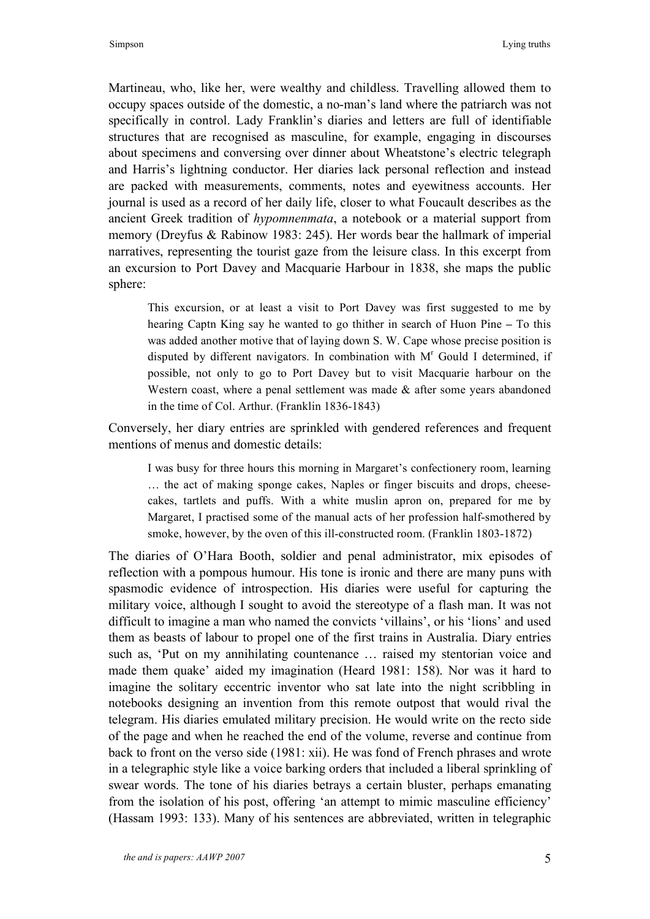Martineau, who, like her, were wealthy and childless. Travelling allowed them to occupy spaces outside of the domestic, a no-man's land where the patriarch was not specifically in control. Lady Franklin's diaries and letters are full of identifiable structures that are recognised as masculine, for example, engaging in discourses about specimens and conversing over dinner about Wheatstone's electric telegraph and Harris's lightning conductor. Her diaries lack personal reflection and instead are packed with measurements, comments, notes and eyewitness accounts. Her journal is used as a record of her daily life, closer to what Foucault describes as the ancient Greek tradition of *hypomnenmata*, a notebook or a material support from memory (Dreyfus & Rabinow 1983: 245). Her words bear the hallmark of imperial narratives, representing the tourist gaze from the leisure class. In this excerpt from an excursion to Port Davey and Macquarie Harbour in 1838, she maps the public sphere:

This excursion, or at least a visit to Port Davey was first suggested to me by hearing Captn King say he wanted to go thither in search of Huon Pine **–** To this was added another motive that of laying down S. W. Cape whose precise position is disputed by different navigators. In combination with  $M<sup>r</sup>$  Gould I determined, if possible, not only to go to Port Davey but to visit Macquarie harbour on the Western coast, where a penal settlement was made & after some years abandoned in the time of Col. Arthur. (Franklin 1836-1843)

Conversely, her diary entries are sprinkled with gendered references and frequent mentions of menus and domestic details:

I was busy for three hours this morning in Margaret's confectionery room, learning … the act of making sponge cakes, Naples or finger biscuits and drops, cheesecakes, tartlets and puffs. With a white muslin apron on, prepared for me by Margaret, I practised some of the manual acts of her profession half-smothered by smoke, however, by the oven of this ill-constructed room. (Franklin 1803-1872)

The diaries of O'Hara Booth, soldier and penal administrator, mix episodes of reflection with a pompous humour. His tone is ironic and there are many puns with spasmodic evidence of introspection. His diaries were useful for capturing the military voice, although I sought to avoid the stereotype of a flash man. It was not difficult to imagine a man who named the convicts 'villains', or his 'lions' and used them as beasts of labour to propel one of the first trains in Australia. Diary entries such as, 'Put on my annihilating countenance … raised my stentorian voice and made them quake' aided my imagination (Heard 1981: 158). Nor was it hard to imagine the solitary eccentric inventor who sat late into the night scribbling in notebooks designing an invention from this remote outpost that would rival the telegram. His diaries emulated military precision. He would write on the recto side of the page and when he reached the end of the volume, reverse and continue from back to front on the verso side (1981: xii). He was fond of French phrases and wrote in a telegraphic style like a voice barking orders that included a liberal sprinkling of swear words. The tone of his diaries betrays a certain bluster, perhaps emanating from the isolation of his post, offering 'an attempt to mimic masculine efficiency' (Hassam 1993: 133). Many of his sentences are abbreviated, written in telegraphic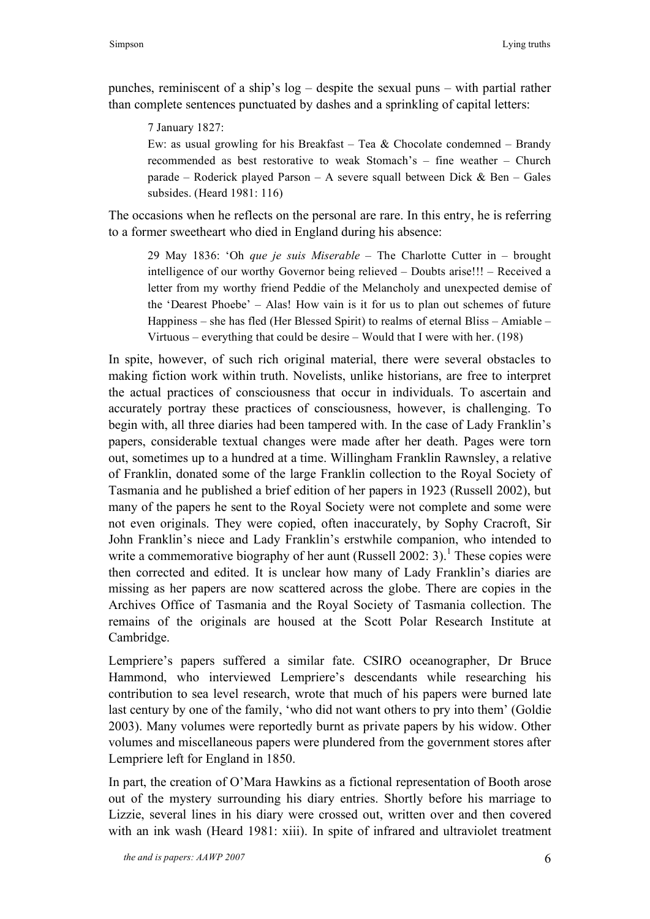punches, reminiscent of a ship's log – despite the sexual puns – with partial rather than complete sentences punctuated by dashes and a sprinkling of capital letters:

7 January 1827:

Ew: as usual growling for his Breakfast – Tea  $& Chocolate$  condemned – Brandy recommended as best restorative to weak Stomach's – fine weather – Church parade – Roderick played Parson – A severe squall between Dick & Ben – Gales subsides. (Heard 1981: 116)

The occasions when he reflects on the personal are rare. In this entry, he is referring to a former sweetheart who died in England during his absence:

29 May 1836: 'Oh *que je suis Miserable* – The Charlotte Cutter in – brought intelligence of our worthy Governor being relieved – Doubts arise!!! – Received a letter from my worthy friend Peddie of the Melancholy and unexpected demise of the 'Dearest Phoebe' – Alas! How vain is it for us to plan out schemes of future Happiness – she has fled (Her Blessed Spirit) to realms of eternal Bliss – Amiable – Virtuous – everything that could be desire – Would that I were with her. (198)

In spite, however, of such rich original material, there were several obstacles to making fiction work within truth. Novelists, unlike historians, are free to interpret the actual practices of consciousness that occur in individuals. To ascertain and accurately portray these practices of consciousness, however, is challenging. To begin with, all three diaries had been tampered with. In the case of Lady Franklin's papers, considerable textual changes were made after her death. Pages were torn out, sometimes up to a hundred at a time. Willingham Franklin Rawnsley, a relative of Franklin, donated some of the large Franklin collection to the Royal Society of Tasmania and he published a brief edition of her papers in 1923 (Russell 2002), but many of the papers he sent to the Royal Society were not complete and some were not even originals. They were copied, often inaccurately, by Sophy Cracroft, Sir John Franklin's niece and Lady Franklin's erstwhile companion, who intended to write a commemorative biography of her aunt (Russell 2002: 3).<sup>1</sup> These copies were then corrected and edited. It is unclear how many of Lady Franklin's diaries are missing as her papers are now scattered across the globe. There are copies in the Archives Office of Tasmania and the Royal Society of Tasmania collection. The remains of the originals are housed at the Scott Polar Research Institute at Cambridge.

Lempriere's papers suffered a similar fate. CSIRO oceanographer, Dr Bruce Hammond, who interviewed Lempriere's descendants while researching his contribution to sea level research, wrote that much of his papers were burned late last century by one of the family, 'who did not want others to pry into them' (Goldie 2003). Many volumes were reportedly burnt as private papers by his widow. Other volumes and miscellaneous papers were plundered from the government stores after Lempriere left for England in 1850.

In part, the creation of O'Mara Hawkins as a fictional representation of Booth arose out of the mystery surrounding his diary entries. Shortly before his marriage to Lizzie, several lines in his diary were crossed out, written over and then covered with an ink wash (Heard 1981: xiii). In spite of infrared and ultraviolet treatment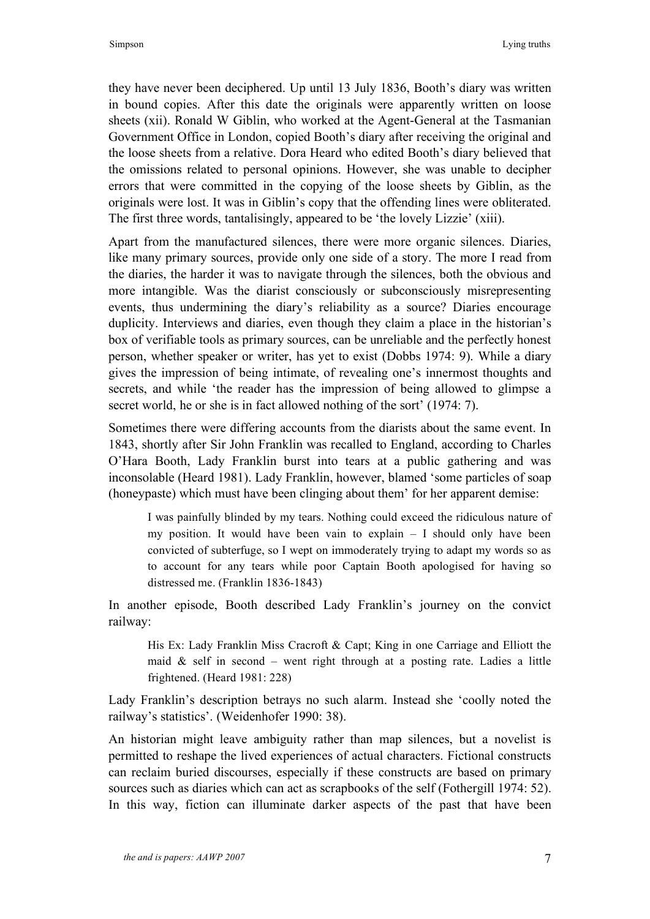they have never been deciphered. Up until 13 July 1836, Booth's diary was written in bound copies. After this date the originals were apparently written on loose sheets (xii). Ronald W Giblin, who worked at the Agent-General at the Tasmanian Government Office in London, copied Booth's diary after receiving the original and the loose sheets from a relative. Dora Heard who edited Booth's diary believed that the omissions related to personal opinions. However, she was unable to decipher errors that were committed in the copying of the loose sheets by Giblin, as the originals were lost. It was in Giblin's copy that the offending lines were obliterated. The first three words, tantalisingly, appeared to be 'the lovely Lizzie' (xiii).

Apart from the manufactured silences, there were more organic silences. Diaries, like many primary sources, provide only one side of a story. The more I read from the diaries, the harder it was to navigate through the silences, both the obvious and more intangible. Was the diarist consciously or subconsciously misrepresenting events, thus undermining the diary's reliability as a source? Diaries encourage duplicity. Interviews and diaries, even though they claim a place in the historian's box of verifiable tools as primary sources, can be unreliable and the perfectly honest person, whether speaker or writer, has yet to exist (Dobbs 1974: 9). While a diary gives the impression of being intimate, of revealing one's innermost thoughts and secrets, and while 'the reader has the impression of being allowed to glimpse a secret world, he or she is in fact allowed nothing of the sort' (1974: 7).

Sometimes there were differing accounts from the diarists about the same event. In 1843, shortly after Sir John Franklin was recalled to England, according to Charles O'Hara Booth, Lady Franklin burst into tears at a public gathering and was inconsolable (Heard 1981). Lady Franklin, however, blamed 'some particles of soap (honeypaste) which must have been clinging about them' for her apparent demise:

I was painfully blinded by my tears. Nothing could exceed the ridiculous nature of my position. It would have been vain to explain – I should only have been convicted of subterfuge, so I wept on immoderately trying to adapt my words so as to account for any tears while poor Captain Booth apologised for having so distressed me. (Franklin 1836-1843)

In another episode, Booth described Lady Franklin's journey on the convict railway:

His Ex: Lady Franklin Miss Cracroft & Capt; King in one Carriage and Elliott the maid  $\&$  self in second – went right through at a posting rate. Ladies a little frightened. (Heard 1981: 228)

Lady Franklin's description betrays no such alarm. Instead she 'coolly noted the railway's statistics'. (Weidenhofer 1990: 38).

An historian might leave ambiguity rather than map silences, but a novelist is permitted to reshape the lived experiences of actual characters. Fictional constructs can reclaim buried discourses, especially if these constructs are based on primary sources such as diaries which can act as scrapbooks of the self (Fothergill 1974: 52). In this way, fiction can illuminate darker aspects of the past that have been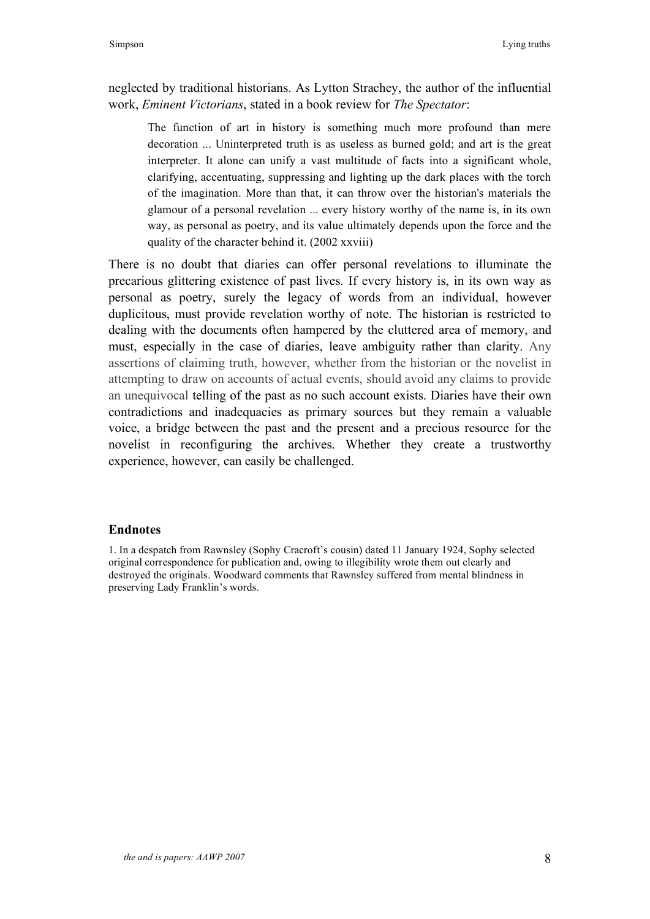neglected by traditional historians. As Lytton Strachey, the author of the influential work, *Eminent Victorians*, stated in a book review for *The Spectator*:

The function of art in history is something much more profound than mere decoration ... Uninterpreted truth is as useless as burned gold; and art is the great interpreter. It alone can unify a vast multitude of facts into a significant whole, clarifying, accentuating, suppressing and lighting up the dark places with the torch of the imagination. More than that, it can throw over the historian's materials the glamour of a personal revelation ... every history worthy of the name is, in its own way, as personal as poetry, and its value ultimately depends upon the force and the quality of the character behind it. (2002 xxviii)

There is no doubt that diaries can offer personal revelations to illuminate the precarious glittering existence of past lives. If every history is, in its own way as personal as poetry, surely the legacy of words from an individual, however duplicitous, must provide revelation worthy of note. The historian is restricted to dealing with the documents often hampered by the cluttered area of memory, and must, especially in the case of diaries, leave ambiguity rather than clarity. Any assertions of claiming truth, however, whether from the historian or the novelist in attempting to draw on accounts of actual events, should avoid any claims to provide an unequivocal telling of the past as no such account exists. Diaries have their own contradictions and inadequacies as primary sources but they remain a valuable voice, a bridge between the past and the present and a precious resource for the novelist in reconfiguring the archives. Whether they create a trustworthy experience, however, can easily be challenged.

# **Endnotes**

1. In a despatch from Rawnsley (Sophy Cracroft's cousin) dated 11 January 1924, Sophy selected original correspondence for publication and, owing to illegibility wrote them out clearly and destroyed the originals. Woodward comments that Rawnsley suffered from mental blindness in preserving Lady Franklin's words.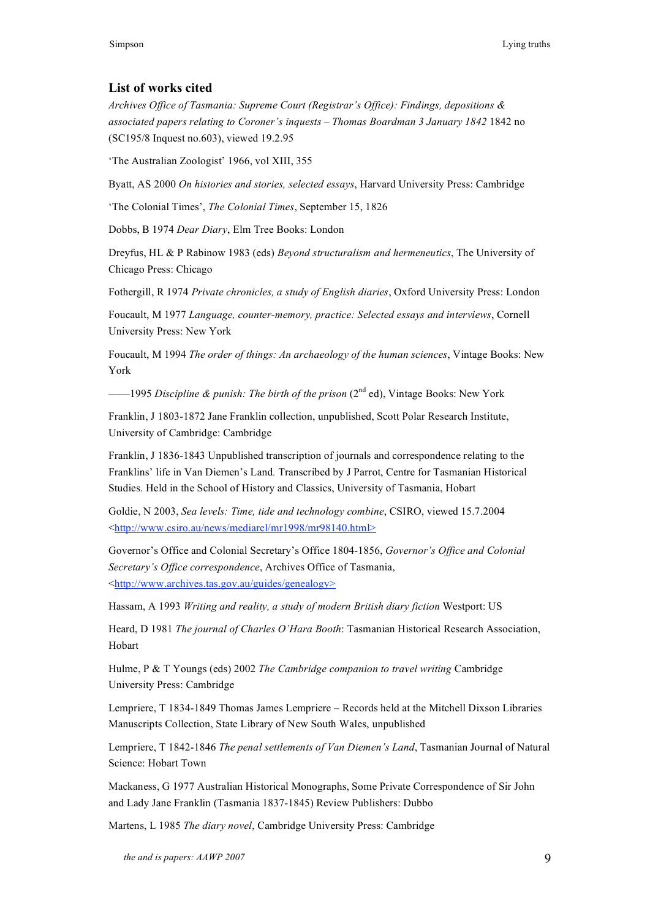## **List of works cited**

*Archives Office of Tasmania: Supreme Court (Registrar's Office): Findings, depositions & associated papers relating to Coroner's inquests – Thomas Boardman 3 January 1842* 1842 no (SC195/8 Inquest no.603), viewed 19.2.95

'The Australian Zoologist' 1966, vol XIII, 355

Byatt, AS 2000 *On histories and stories, selected essays*, Harvard University Press: Cambridge

'The Colonial Times', *The Colonial Times*, September 15, 1826

Dobbs, B 1974 *Dear Diary*, Elm Tree Books: London

Dreyfus, HL & P Rabinow 1983 (eds) *Beyond structuralism and hermeneutics*, The University of Chicago Press: Chicago

Fothergill, R 1974 *Private chronicles, a study of English diaries*, Oxford University Press: London

Foucault, M 1977 *Language, counter-memory, practice: Selected essays and interviews*, Cornell University Press: New York

Foucault, M 1994 *The order of things: An archaeology of the human sciences*, Vintage Books: New York

——1995 *Discipline & punish: The birth of the prison* (2nd ed), Vintage Books: New York

Franklin, J 1803-1872 Jane Franklin collection, unpublished, Scott Polar Research Institute, University of Cambridge: Cambridge

Franklin, J 1836-1843 Unpublished transcription of journals and correspondence relating to the Franklins' life in Van Diemen's Land*.* Transcribed by J Parrot, Centre for Tasmanian Historical Studies. Held in the School of History and Classics, University of Tasmania, Hobart

Goldie, N 2003, *Sea levels: Time, tide and technology combine*, CSIRO, viewed 15.7.2004 <http://www.csiro.au/news/mediarel/mr1998/mr98140.html>

Governor's Office and Colonial Secretary's Office 1804-1856, *Governor's Office and Colonial Secretary's Office correspondence*, Archives Office of Tasmania, <http://www.archives.tas.gov.au/guides/genealogy>

Hassam, A 1993 *Writing and reality, a study of modern British diary fiction* Westport: US

Heard, D 1981 *The journal of Charles O'Hara Booth*: Tasmanian Historical Research Association, Hobart

Hulme, P & T Youngs (eds) 2002 *The Cambridge companion to travel writing* Cambridge University Press: Cambridge

Lempriere, T 1834-1849 Thomas James Lempriere – Records held at the Mitchell Dixson Libraries Manuscripts Collection, State Library of New South Wales, unpublished

Lempriere, T 1842-1846 *The penal settlements of Van Diemen's Land*, Tasmanian Journal of Natural Science: Hobart Town

Mackaness, G 1977 Australian Historical Monographs, Some Private Correspondence of Sir John and Lady Jane Franklin (Tasmania 1837-1845) Review Publishers: Dubbo

Martens, L 1985 *The diary novel*, Cambridge University Press: Cambridge

*the and is papers: AAWP 2007* 9